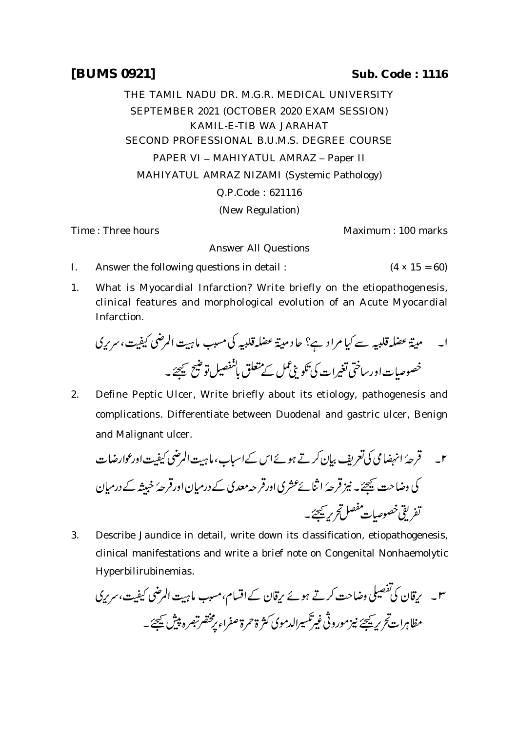THE TAMIL NADU DR. M.G.R. MEDICAL UNIVERSITY SEPTEMBER 2021 (OCTOBER 2020 EXAM SESSION) KAMIL-E-TIB WA JARAHAT SECOND PROFESSIONAL B.U.M.S. DEGREE COURSE PAPER VI - MAHIYATUL AMRAZ - Paper II MAHIYATUL AMRAZ NIZAMI (Systemic Pathology) Q.P.Code : 621116 (New Regulation)

Time : Three hours Maximum : 100 marks

Answer All Questions

- I. Answer the following questions in detail :  $(4 \times 15 = 60)$
- 1. What is Myocardial Infarction? Write briefly on the etiopathogenesis, clinical features and morphological evolution of an Acute Myocardial Infarction.

 

2. Define Peptic Ulcer, Write briefly about its etiology, pathogenesis and complications. Differentiate between Duodenal and gastric ulcer, Benign and Malignant ulcer.

 

3. Describe Jaundice in detail, write down its classification, etiopathogenesis, clinical manifestations and write a brief note on Congenital Nonhaemolytic Hyperbilirubinemias.

۳۔ یرقان کی تفصیلی وضاحت کرتے ہوئے ریقان کے اقسام، مسبب ماہیت المرضی کیفیت، *سری*کی مظاہرات َحریر ﷺ نیز مورونی غیر تکسیرالدموی کثر ۃحمرۃ صفراء پر محضرتبصرہ پیش سیجئے۔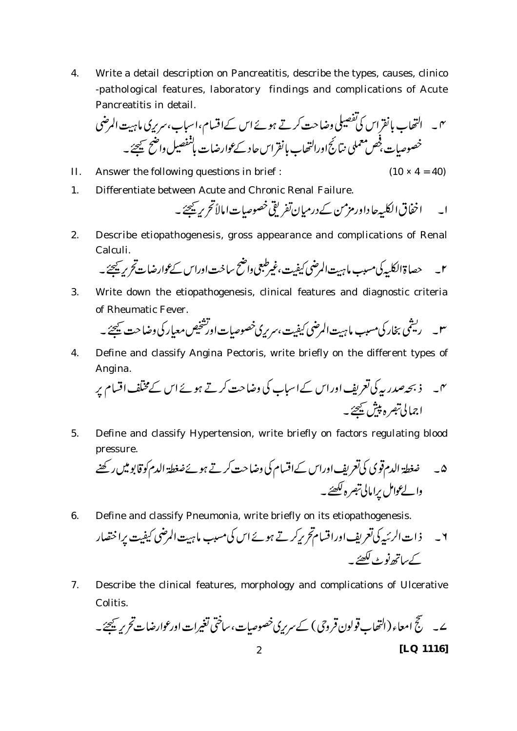4. Write a detail description on Pancreatitis, describe the types, causes, clinico -pathological features, laboratory findings and complications of Acute Pancreatitis in detail.

 

II. Answer the following questions in brief :  $(10 \times 4 = 40)$ 

1. Differentiate between Acute and Chronic Renal Failure.

ا۔ اخفاق الکلیہ حاداور مزمن کے درمیان تفریقی خصوصیات امالاً تحریر یحیجے ۔

2. Describe etiopathogenesis, gross appearance and complications of Renal Calculi.

3. Write down the etiopathogenesis, clinical features and diagnostic criteria of Rheumatic Fever.

4. Define and classify Angina Pectoris, write briefly on the different types of Angina.

 

5. Define and classify Hypertension, write briefly on factors regulating blood pressure.

 

6. Define and classify Pneumonia, write briefly on its etiopathogenesis.

 

7. Describe the clinical features, morphology and complications of Ulcerative Colitis.

 2 **[LQ 1116]**